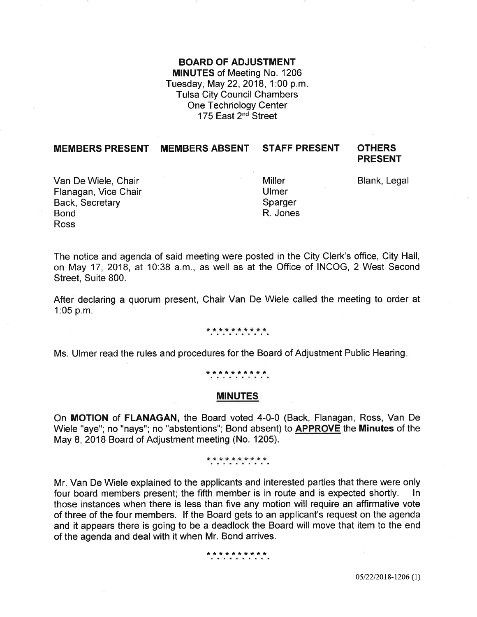### BOARD OF ADJUSTMENT

MINUTES of Meeting No. 1206 Tuesday, May 22, 2018, 1:00 p.m. Tulsa City Council Chambers One Technology Center 175 East 2<sup>nd</sup> Street

### MEMBERS PRESENT MEMBERS ABSENT STAFF PRESENT OTHERS

# PRESENT

Van De Wiele, Chair **Blank, Legal Miller** Blank, Legal Flanagan, Vice Chair Back, Secretary Bond Ross

**Miller** Ulmer Sparger R. Jones

The notice and agenda of said meeting were posted in the City Clerk's office, City Hall, on May 17,2018, at 10:38 a.m., as well as at the Office of INCOG, 2 West Second Street, Suite 800.

After declaring a quorum present, Chair Van De Wiele called the meeting to order at 1:05 p.m.

### \*\*\*\*\*\*\*\*\*\*

Ms. Ulmer read the rules and procedures for the Board of Adjustment Public Hearing

### \*\*\*\*\*\*\*\*\*\*

### MINUTES

On MOTION of FLANAGAN, the Board voted 4-0-0 (Back, Flanagan, Ross, Van De Wiele "aye"; no "nays"; no "abstentions"; Bond absent) to APPROVE the Minutes of the May 8, 2018 Board of Adjustment meeting (No. 1205).

### \*\*\*\*\*\*\*\*\*\*\*

Mr. Van De Wiele explained to the applicants and interested parties that there were only four board members present; the fifth member is in route and is expected shortly. In those instances when there is less than five any motion will require an affirmative vote of three of the four members. lf the Board gets to an applicant's request on the agenda and it appears there is going to be a deadlock the Board will move that item to the end of the agenda and deal with it when Mr. Bond arrives.

#### \*\*\*\*\*\*\*\*\*\*

05/22/2018-1206 (1)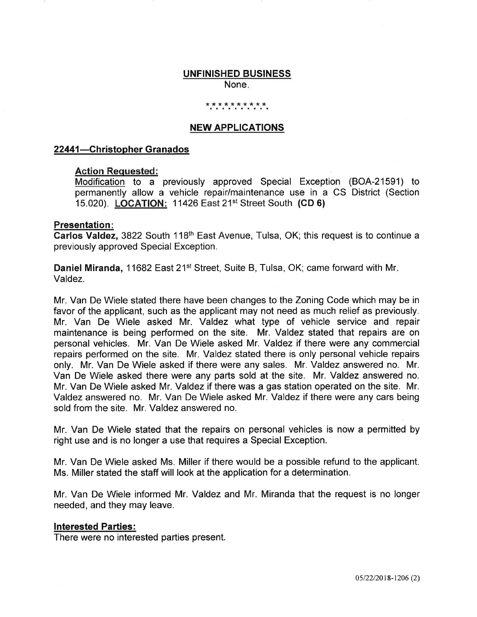### UNFINISHED BUSINESS

None

### \* \* \* \* \* \* \* \* \* \*

### NEW APPLICATIONS

### 22441-Christopher Granados

### Action Requested:

Modification to a previously approved Special Exception (BOA-21591) to permanently allow a vehicle repair/maintenance use in a CS District (Section 15.020). LOCATION: 11426 East 21<sup>st</sup> Street South (CD 6)

### Presentation

Carlos Valdez, 3822 South 118<sup>th</sup> East Avenue, Tulsa, OK; this request is to continue a previously approved Special Exception.

Daniel Miranda, 11682 East 21<sup>st</sup> Street, Suite B, Tulsa, OK; came forward with Mr. Valdez.

Mr. Van De Wiele stated there have been changes to the Zoning Code which may be in favor of the applicant, such as the applicant may not need as much relief as previously. Mr. Van De Wiele asked Mr. Valdez what type of vehicle service and repair maintenance is being performed on the site. Mr. Valdez stated that repairs are on personal vehicles. Mr. Van De Wiele asked Mr. Valdez if there were any commercial repairs performed on the site. Mr. Valdez stated there is only personal vehicle repairs only. Mr. Van De Wiele asked if there were any sales. Mr. Valdez answered no. Mr. Van De Wiele asked there were any parts sold at the site. Mr. Valdez answered no. Mr. Van De Wiele asked Mr. Valdez if there was a gas station operated on the site. Mr. Valdez answered no. Mr. Van De Wiele asked Mr. Valdez if there were any cars being sold from the site. Mr. Valdez answered no.

Mr. Van De Wiele stated that the repairs on personal vehicles is now a permitted by right use and is no longer a use that requires a Special Exception.

Mr. Van De Wiele asked Ms. Miller if there would be a possible refund to the applicant. Ms. Miller stated the staff will look at the application for a determination.

Mr. Van De Wiele informed Mr. Valdez and Mr. Miranda that the request is no longer needed, and they may leave.

### lnterested Parties:

There were no interested parties present.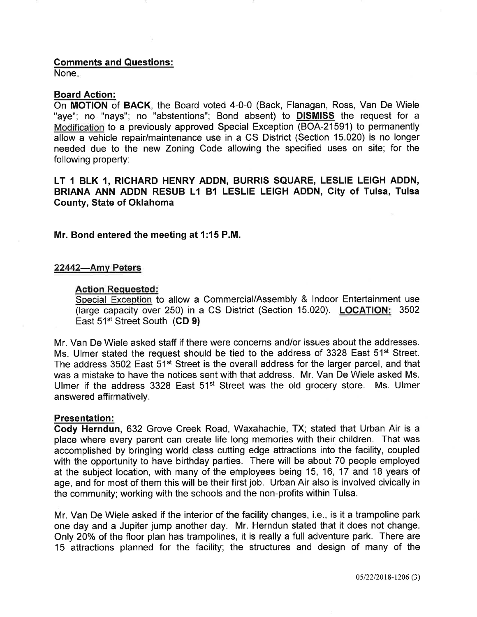### Gomments and Questions:

None

### Board Action:

On MOTION of BACK, the Board voted 4-0-0 (Back, Flanagan, Ross, Van De Wiele "aye"; no "nays"; no "abstentions"; Bond absent) to **DISMISS** the request for a Modification to a previously approved Special Exception (BOA-21591) to permanently allow a vehicle repair/maintenance use in a CS District (Section 15.020) is no longer needed due to the new Zoning Code allowing the specified uses on site; for the following property:

### LT 1 BLK 1, RICHARD HENRY ADDN, BURRIS SQUARE, LESLIE LEIGH ADDN, BRIANA ANN ADDN RESUB L1 81 LESLIE LEIGH ADDN, City of Tulsa, Tulsa County, State of Oklahoma

Mr. Bond entered the meeting at 1:15 P.M.

### 22442-Amy Peters

### Action Requested:

Special Exception to allow a Commercial/Assembly & Indoor Entertainment use (large capacity over 250) in a CS District (Section 15.020). LOGATION: 3502 East 51<sup>st</sup> Street South (CD 9)

Mr. Van De Wiele asked staff if there were concerns and/or issues about the addresses. Ms. Ulmer stated the request should be tied to the address of 3328 East 51<sup>st</sup> Street. The address 3502 East 51<sup>st</sup> Street is the overall address for the larger parcel, and that was a mistake to have the notices sent with that address. Mr. Van De Wiele asked Ms. Ulmer if the address  $3328$  East  $51<sup>st</sup>$  Street was the old grocery store. Ms. Ulmer answered affirmatively.

### Presentation:

Gody Herndun, 632 Grove Creek Road, Waxahachie, TX; stated that Urban Air is a place where every parent can create life long memories with their children. That was accomplished by bringing world class cutting edge attractions into the facility, coupled with the opportunity to have birthday parties. There will be about 70 people employed at the subject location, with many of the employees being 15, 16, 17 and 18 years of age, and for most of them this will be their first job. Urban Air also is involved civically in the community; working with the schools and the non-profits within Tulsa.

Mr. Van De Wiele asked if the interior of the facility changes, i.e., is it a trampoline park one day and a Jupiter jump another day. Mr. Herndun stated that it does not change. Only 20% of the floor plan has trampolines, it is really a full adventure park. There are 15 attractions planned for the facility; the structures and design of many of the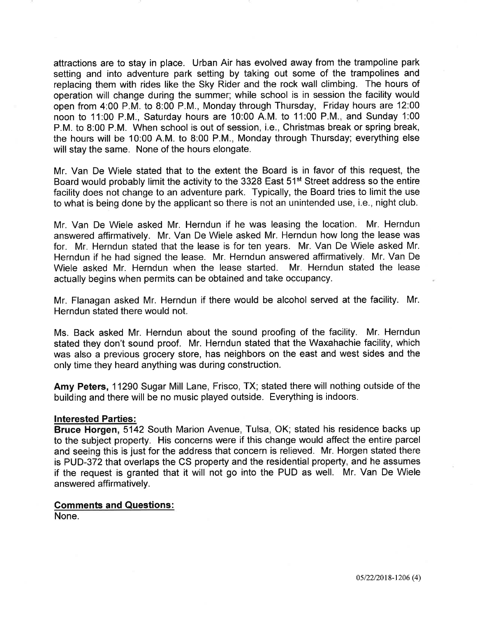attractions are to stay in place. Urban Air has evolved away from the trampoline park setting and into adventure park setting by taking out some of the trampolines and replacing them with rides like the Sky Rider and the rock wall climbing. The hours of operation will change during the summer; while school is in session the facility would open from 4:00 P.M. to 8:00 P.M., Monday through Thursday, Friday hours are 12:00 noon to 11:00 P.M., Saturday hours are 10:00 A.M. to 11:00 P.M., and Sunday 1:00 P.M. to 8:00 P.M. When school is out of session, i.e., Christmas break or spring break, the hours will be 10:00 A.M. to 8:00 P.M., Monday through Thursday; everything else will stay the same. None of the hours elongate.

Mr. Van De Wiele stated that to the extent the Board is in favor of this request, the Board would probably limit the activity to the 3328 East 51<sup>st</sup> Street address so the entire facility does not change to an adventure park. Typically, the Board tries to limit the use to what is being done by the applicant so there is not an unintended use, i.e., night club.

Mr. Van De Wiele asked Mr. Herndun if he was leasing the location. Mr. Herndun answered affirmatively. Mr. Van De Wiele asked Mr. Herndun how long the lease was for. Mr. Herndun stated that the lease is for ten years. Mr. Van De Wiele asked Mr. Herndun if he had signed the lease. Mr. Herndun answered affirmatively. Mr. Van De Wiele asked Mr. Herndun when the lease started. Mr. Herndun stated the lease actually begins when permits can be obtained and take occupancy.

Mr. Flanagan asked Mr. Herndun if there would be alcohol served at the facility. Mr. Herndun stated there would not.

Ms. Back asked Mr. Herndun about the sound proofing of the facility. Mr. Herndun stated they don't sound proof. Mr. Herndun stated that the Waxahachie facility, which was also a previous grocery store, has neighbors on the east and west sides and the only time they heard anything was during construction.

Amy Peters, 11290 Sugar Mill Lane, Frisco, TX; stated there will nothing outside of the building and there will be no music played outside. Everything is indoors.

### Interested Parties:

Bruce Horgen, 5142 South Marion Avenue, Tulsa, OK; stated his residence backs up to the subject property. His concerns were if this change would affect the entire parcel and seeing this is just for the address that concern is relieved. Mr. Horgen stated there is PUD-372 that overlaps the CS property and the residential property, and he assumes if the request is granted that it will not go into the PUD as well. Mr. Van De Wiele answered affirmatively.

### Gomments and Questions:

None.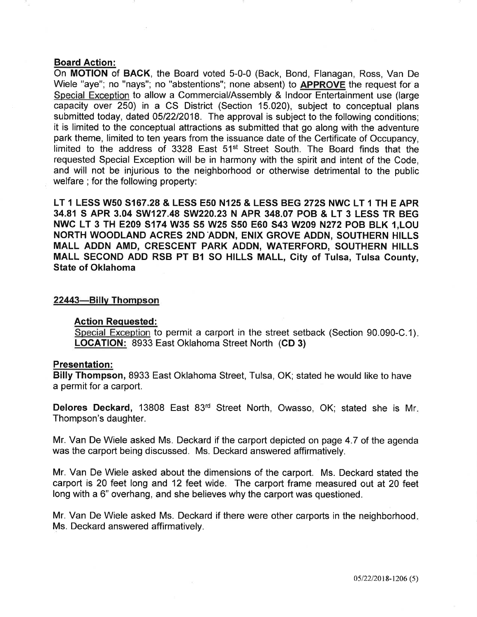### Board Action:

On MOTION of BACK, the Board voted 5-0-0 (Back, Bond, Flanagan, Ross, Van De Wiele "aye"; no "nays"; no "abstentions"; none absent) to APPROVE the request for a Special Exception to allow a Commercial/Assembly & lndoor Entertainment use (large capacity over 250) in a CS District (Section 15.020), subject to conceptual plans submitted today, dated 05/22/2018. The approval is subject to the following conditions; it is limited to the conceptual attractions as submitted that go along with the adventure park theme, limited to ten years from the issuance date of the Certificate of Occupancy, limited to the address of 3328 East 51<sup>st</sup> Street South. The Board finds that the requested Special Exception will be in harmony with the spirit and intent of the Code, and will not be injurious to the neighborhood or otherwise detrimental to the public welfare ; for the following property:

LT 1 LESS WsO 3167.28 & LESS EsO N125 & LESS BEG 2725 NWC LT 1 TH E APR 34.81 S APR 3.04 SW127.48 SW220.23 N APR 348.07 POB & LT 3 LESS TR BEG NWC LT 3 TH E2O9 5174 W35 55 W25 S5O E6O S43 W2O9 N272 POB BLK 1,LOU NORTH WOODLAND ACRES 2ND ADDN, ENIX GROVE ADDN, SOUTHERN HILLS MALL ADDN AMD, GRESCENT PARK ADDN, WATERFORD, SOUTHERN HILLS MALL SECOND ADD RSB PT B1 SO HILLS MALL, City of Tulsa, Tulsa County, State of Oklahoma

### 22443-Billv Thompson

### Action Requested:

Special Exception to permit a carport in the street setback (Section 90.090-C.1). LOCATION: 8933 East Oklahoma Street North (CD 3)

### Presentation:

Billy Thompson, 8933 East Oklahoma Street, Tulsa, OK; stated he would like to have a permit for a carport.

Delores Deckard, 13808 East 83<sup>rd</sup> Street North, Owasso, OK; stated she is Mr. Thompson's daughter.

Mr. Van De Wiele asked Ms. Deckard if the carport depicted on page 4.7 of the agenda was the carport being discussed. Ms. Deckard answered affirmatively.

Mr. Van De Wiele asked about the dimensions of the carport. Ms. Deckard stated the carport is 20 feet long and 12 feet wide. The carport frame measured out at 20 feet long with a 6" overhang, and she believes why the carport was questioned.

Mr. Van De Wiele asked Ms. Deckard if there were other carports in the neighborhood Ms. Deckard answered affirmatively.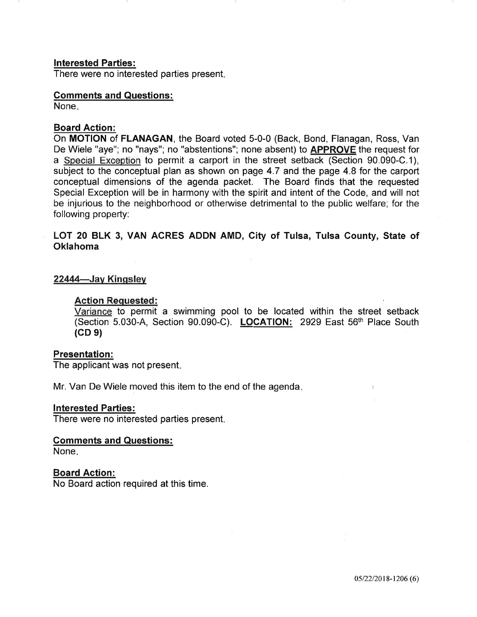### lnterested Parties:

There were no interested parties present

## Gomments and Questions:

None

### Board Action:

On MOTION of FLANAGAN, the Board voted 5-0-0 (Back, Bond, Flanagan, Ross, Van De Wiele "aye"; no "nays"; no "abstentions"; none absent) to **APPROVE** the request for a Special Exception to permit a carport in the street setback (Section 90.090-C.1), subject to the conceptual plan as shown on page 4.7 and the page 4.8 for the carport conceptual dimensions of the agenda packet. The Board finds that the requested Special Exception will be in harmony with the spirit and intent of the Code, and will not be injurious to the neighborhood or otherwise detrimental to the public welfare; for the following property:

### LOT 20 BLK 3, VAN ACRES ADDN AMD, City of Tulsa, Tulsa County, State of Oklahoma

### 22444-Jay Kingsley

### Action Requested:

Variance to permit a swimming pool to be located within the street setback (Section 5.030-4, Section 90.090-C). LOCATION: 2929 East 56th Place South  $(CD<sub>9</sub>)$ 

### Presentation:

The applicant was not present

Mr. Van De Wiele moved this item to the end of the agenda

### lnterested Parties:

There were no interested parties present

### Comments and Questions:

None

### Board Action:

No Board action required at this time.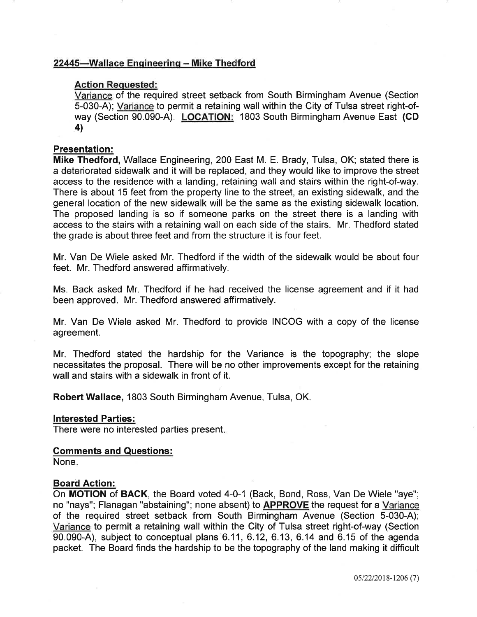### 22445-Wallace Engineering - Mike Thedford

### Action Requested:

Variance of the required street setback from South Birmingham Avenue (Section 5-030-A); Variance to permit a retaining wall within the City of Tulsa street right-ofway (Section 90.090-A). LOCATION: 1803 South Birmingham Avenue East (GD 4l

### Presentation:

Mike Thedford, Wallace Engineering, 200 East M. E. Brady, Tulsa, OK; stated there is a deteriorated sidewalk and it will be replaced, and they would like to improve the street access to the residence with a landing, retaining wall and stairs within the right-of-way. There is about 15 feet from the property line to the street, an existing sidewalk, and the general location of the new sidewalk will be the same as the existing sidewalk location. The proposed landing is so if someone parks on the street there is a landing with access to the stairs with a retaining wall on each side of the stairs. Mr. Thedford stated the grade is about three feet and from the structure it is four feet.

Mr. Van De Wiele asked Mr. Thedford if the width of the sidewalk would be about four feet. Mr. Thedford answered affirmatively.

Ms. Back asked Mr. Thedford if he had received the license agreement and if it had been approved. Mr. Thedford answered affirmatively.

Mr. Van De Wiele asked Mr. Thedford to provide INCOG with a copy of the license agreement.

Mr. Thedford stated the hardship for the Variance is the topography; the slope necessitates the proposal. There will be no other improvements except for the retaining wall and stairs with a sidewalk in front of it.

Robert Wallace, 1803 South Birmingham Avenue, Tulsa, OK.

### lnterested Parties:

There were no interested parties present

### Gomments and Questions:

None

### Board Action:

On MOTION of BACK, the Board voted 4-0-1 (Back, Bond, Ross, Van De Wiele "aye"; no "nays"; Flanagan "abstaining"; none absent) to **APPROVE** the request for a Variance of the required street setback from South Birmingham Avenue (Section 5-030-A); Variance to permit a retaining wall within the City of Tulsa street right-of-way (Section  $90.090-A$ ), subject to conceptual plans  $6.11, 6.12, 6.13, 6.14$  and  $6.15$  of the agenda packet. The Board finds the hardship to be the topography of the land making it difficult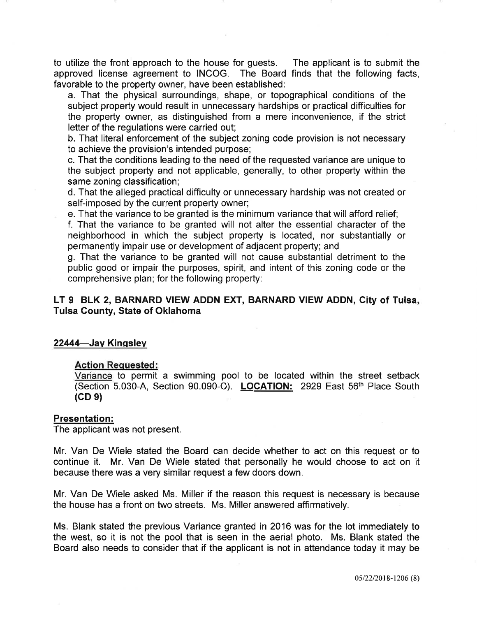to utilize the front approach to the house for guests. The applicant is to submit the approved license agreement to INCOG. The Board finds that the following facts, favorable to the property owner, have been established:

a. That the physical surroundings, shape, or topographical conditions of the subject property would result in unnecessary hardships or practical difficulties for the property owner, as distinguished from a mere inconvenience, if the strict letter of the regulations were carried out;

b. That literal enforcement of the subject zoning code provision is not necessary to achieve the provision's intended purpose;

c. That the conditions leading to the need of the requested variance are unique to the subject property and not applicable, generally, to other property within the same zoning classification;

d. That the alleged practical difficulty or unnecessary hardship was not created or self-imposed by the current property owner;

e. That the variance to be granted is the minimum variance that will afford relief;

f. That the variance to be granted will not alter the essential character of the neighborhood in which the subject property is located, nor substantially or permanently impair use or development of adjacent property; and

g. That the variance to be granted will not cause substantial detriment to the public good or impair the purposes, spirit, and intent of this zoning code or the comprehensive plan; for the following property:

### LT 9 BLK 2, BARNARD VIEW ADDN EXT, BARNARD VIEW ADDN, Gity of Tulsa, Tulsa Gounty, State of Oklahoma

### 22444-Jay Kingsley

### Action Requested:

Variance to permit a swimming pool to be located within the street setback (Section 5.030-A, Section 90.090-0). LOCATION: 2929 East 56th Place South  $(CD<sub>9</sub>)$ 

### Presentation:

The applicant was not present.

Mr. Van De Wiele stated the Board can decide whether to act on this request or to continue it. Mr. Van De Wiele stated that personally he would choose to act on it because there was a very similar request a few doors down.

Mr. Van De Wiele asked Ms. Miller if the reason this request is necessary is because the house has a front on two streets. Ms. Miller answered affirmatively.

Ms. Blank stated the previous Variance granted in 2016 was for the lot immediately to the west, so it is not the pool that is seen in the aerial photo. Ms. Blank stated the Board also needs to consider that if the applicant is not in attendance today it may be